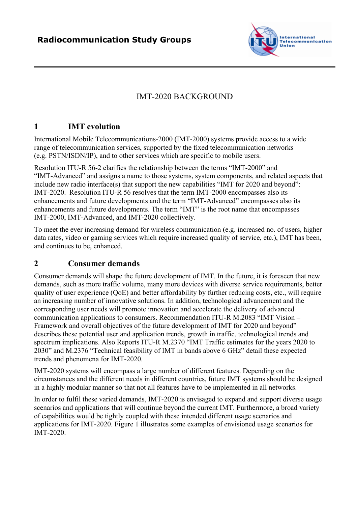

# IMT-2020 BACKGROUND

# **1 IMT evolution**

International Mobile Telecommunications-2000 (IMT-2000) systems provide access to a wide range of telecommunication services, supported by the fixed telecommunication networks (e.g. PSTN/ISDN/IP), and to other services which are specific to mobile users.

Resolution ITU-R 56-2 clarifies the relationship between the terms "IMT-2000" and "IMT-Advanced" and assigns a name to those systems, system components, and related aspects that include new radio interface(s) that support the new capabilities "IMT for 2020 and beyond": IMT-2020. Resolution ITU-R 56 resolves that the term IMT-2000 encompasses also its enhancements and future developments and the term "IMT-Advanced" encompasses also its enhancements and future developments. The term "IMT" is the root name that encompasses IMT-2000, IMT-Advanced, and IMT-2020 collectively.

To meet the ever increasing demand for wireless communication (e.g. increased no. of users, higher data rates, video or gaming services which require increased quality of service, etc.), IMT has been, and continues to be, enhanced.

## **2 Consumer demands**

Consumer demands will shape the future development of IMT. In the future, it is foreseen that new demands, such as more traffic volume, many more devices with diverse service requirements, better quality of user experience (QoE) and better affordability by further reducing costs, etc., will require an increasing number of innovative solutions. In addition, technological advancement and the corresponding user needs will promote innovation and accelerate the delivery of advanced communication applications to consumers. Recommendation ITU-R M.2083 "IMT Vision – Framework and overall objectives of the future development of IMT for 2020 and beyond" describes these potential user and application trends, growth in traffic, technological trends and spectrum implications. Also Reports ITU-R M.2370 "IMT Traffic estimates for the years 2020 to 2030" and M.2376 "Technical feasibility of IMT in bands above 6 GHz" detail these expected trends and phenomena for IMT-2020.

IMT-2020 systems will encompass a large number of different features. Depending on the circumstances and the different needs in different countries, future IMT systems should be designed in a highly modular manner so that not all features have to be implemented in all networks.

In order to fulfil these varied demands, IMT-2020 is envisaged to expand and support diverse usage scenarios and applications that will continue beyond the current IMT. Furthermore, a broad variety of capabilities would be tightly coupled with these intended different usage scenarios and applications for IMT-2020. Figure 1 illustrates some examples of envisioned usage scenarios for IMT-2020.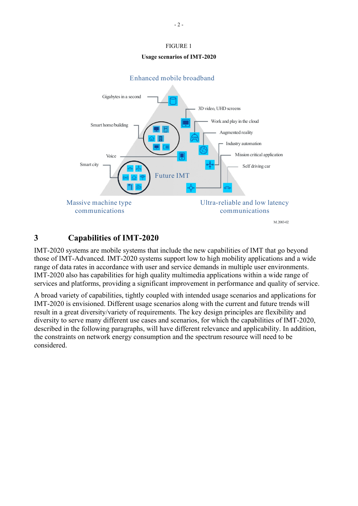

## **3 Capabilities of IMT-2020**

IMT-2020 systems are mobile systems that include the new capabilities of IMT that go beyond those of IMT-Advanced. IMT-2020 systems support low to high mobility applications and a wide range of data rates in accordance with user and service demands in multiple user environments. IMT-2020 also has capabilities for high quality multimedia applications within a wide range of services and platforms, providing a significant improvement in performance and quality of service.

A broad variety of capabilities, tightly coupled with intended usage scenarios and applications for IMT-2020 is envisioned. Different usage scenarios along with the current and future trends will result in a great diversity/variety of requirements. The key design principles are flexibility and diversity to serve many different use cases and scenarios, for which the capabilities of IMT-2020, described in the following paragraphs, will have different relevance and applicability. In addition, the constraints on network energy consumption and the spectrum resource will need to be considered.

#### FIGURE 1 **Usage scenarios of IMT-2020**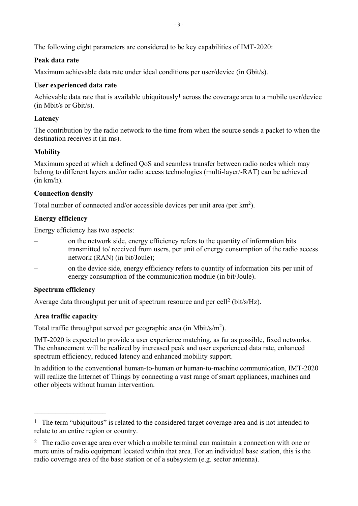The following eight parameters are considered to be key capabilities of IMT-2020:

### **Peak data rate**

Maximum achievable data rate under ideal conditions per user/device (in Gbit/s).

#### **User experienced data rate**

Achievable data rate that is available ubiquitously<sup>1</sup> across the coverage area to a mobile user/device (in Mbit/s or Gbit/s).

### **Latency**

The contribution by the radio network to the time from when the source sends a packet to when the destination receives it (in ms).

### **Mobility**

Maximum speed at which a defined QoS and seamless transfer between radio nodes which may belong to different layers and/or radio access technologies (multi-layer/-RAT) can be achieved (in km/h).

### **Connection density**

Total number of connected and/or accessible devices per unit area (per  $km^2$ ).

### **Energy efficiency**

Energy efficiency has two aspects:

- on the network side, energy efficiency refers to the quantity of information bits transmitted to/ received from users, per unit of energy consumption of the radio access network (RAN) (in bit/Joule);
- on the device side, energy efficiency refers to quantity of information bits per unit of energy consumption of the communication module (in bit/Joule).

### **Spectrum efficiency**

Average data throughput per unit of spectrum resource and per cell2 (bit/s/Hz).

### **Area traffic capacity**

 $\mathcal{L}_\text{max}$  , where  $\mathcal{L}_\text{max}$  , we have the set of  $\mathcal{L}_\text{max}$ 

Total traffic throughput served per geographic area (in Mbit/s/m<sup>2</sup>).

IMT-2020 is expected to provide a user experience matching, as far as possible, fixed networks. The enhancement will be realized by increased peak and user experienced data rate, enhanced spectrum efficiency, reduced latency and enhanced mobility support.

In addition to the conventional human-to-human or human-to-machine communication, IMT-2020 will realize the Internet of Things by connecting a vast range of smart appliances, machines and other objects without human intervention.

<sup>&</sup>lt;sup>1</sup> The term "ubiquitous" is related to the considered target coverage area and is not intended to relate to an entire region or country.

<sup>2</sup> The radio coverage area over which a mobile terminal can maintain a connection with one or more units of radio equipment located within that area. For an individual base station, this is the radio coverage area of the base station or of a subsystem (e.g. sector antenna).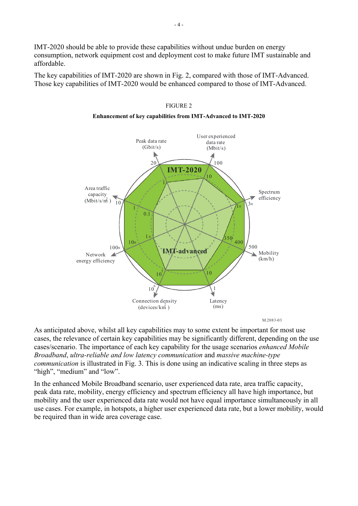IMT-2020 should be able to provide these capabilities without undue burden on energy consumption, network equipment cost and deployment cost to make future IMT sustainable and affordable.

The key capabilities of IMT-2020 are shown in Fig. 2, compared with those of IMT-Advanced. Those key capabilities of IMT-2020 would be enhanced compared to those of IMT-Advanced.



FIGURE 2

**Enhancement of key capabilities from IMT-Advanced to IMT-2020**

As anticipated above, whilst all key capabilities may to some extent be important for most use cases, the relevance of certain key capabilities may be significantly different, depending on the use cases/scenario. The importance of each key capability for the usage scenarios *enhanced Mobile Broadband*, *ultra-reliable and low latency communication* and *massive machine-type communication* is illustrated in Fig. 3. This is done using an indicative scaling in three steps as "high", "medium" and "low".

In the enhanced Mobile Broadband scenario, user experienced data rate, area traffic capacity, peak data rate, mobility, energy efficiency and spectrum efficiency all have high importance, but mobility and the user experienced data rate would not have equal importance simultaneously in all use cases. For example, in hotspots, a higher user experienced data rate, but a lower mobility, would be required than in wide area coverage case.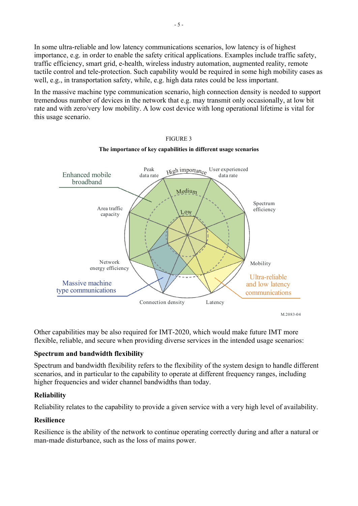In some ultra-reliable and low latency communications scenarios, low latency is of highest importance, e.g. in order to enable the safety critical applications. Examples include traffic safety, traffic efficiency, smart grid, e-health, wireless industry automation, augmented reality, remote tactile control and tele-protection. Such capability would be required in some high mobility cases as well, e.g., in transportation safety, while, e.g. high data rates could be less important.

In the massive machine type communication scenario, high connection density is needed to support tremendous number of devices in the network that e.g. may transmit only occasionally, at low bit rate and with zero/very low mobility. A low cost device with long operational lifetime is vital for this usage scenario.



## FIGURE 3

Other capabilities may be also required for IMT-2020, which would make future IMT more flexible, reliable, and secure when providing diverse services in the intended usage scenarios:

#### **Spectrum and bandwidth flexibility**

Spectrum and bandwidth flexibility refers to the flexibility of the system design to handle different scenarios, and in particular to the capability to operate at different frequency ranges, including higher frequencies and wider channel bandwidths than today.

#### **Reliability**

Reliability relates to the capability to provide a given service with a very high level of availability.

#### **Resilience**

Resilience is the ability of the network to continue operating correctly during and after a natural or man-made disturbance, such as the loss of mains power.